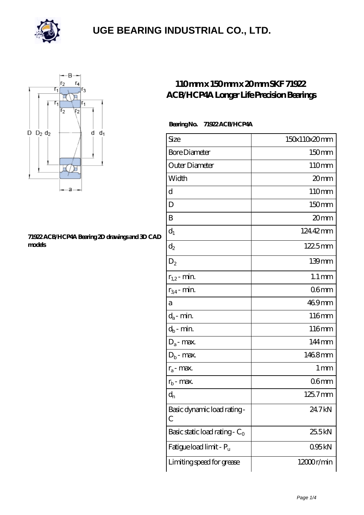



#### **[71922 ACB/HCP4A Bearing 2D drawings and 3D CAD](https://m.rerkm.com/pic-151750.html) [models](https://m.rerkm.com/pic-151750.html)**

### **[110 mm x 150 mm x 20 mm SKF 71922](https://m.rerkm.com/by-151750-skf-71922-acb-hcp4a-longer-life-precision-bearings.html) [ACB/HCP4A Longer Life Precision Bearings](https://m.rerkm.com/by-151750-skf-71922-acb-hcp4a-longer-life-precision-bearings.html)**

#### **Bearing No. 71922 ACB/HCP4A**

| Size                             | 150x110x20mm         |
|----------------------------------|----------------------|
| <b>Bore Diameter</b>             | 150mm                |
| Outer Diameter                   | 110mm                |
| Width                            | 20mm                 |
| d                                | 110mm                |
| D                                | 150mm                |
| B                                | 20mm                 |
| $d_1$                            | 124.42mm             |
| $\mathrm{d}_2$                   | $1225$ <sub>mm</sub> |
| $D_2$                            | 139mm                |
| $r_{1,2}$ - min.                 | $1.1 \,\mathrm{mm}$  |
| $r_{34}$ - min.                  | 06 <sub>mm</sub>     |
| а                                | 469mm                |
| $d_a$ - min.                     | 116mm                |
| $d_b$ - min.                     | 116mm                |
| $D_a$ - max.                     | 144mm                |
| $D_b$ - max.                     | 1468mm               |
| $r_a$ - max.                     | $1 \,\mathrm{mm}$    |
| $r_{b}$ - max.                   | 06 <sub>mm</sub>     |
| $d_{n}$                          | 125.7mm              |
| Basic dynamic load rating-<br>С  | 24.7kN               |
| Basic static load rating - $C_0$ | 25.5kN               |
| Fatigue load limit - Pu          | 095kN                |
| Limiting speed for grease        | 12000r/min           |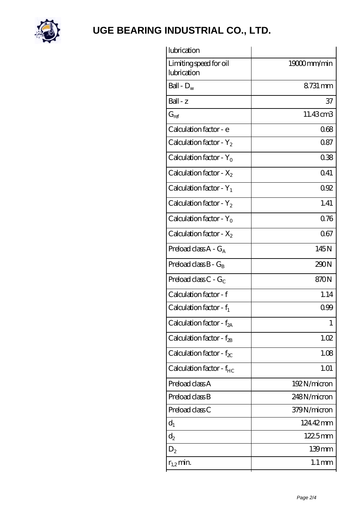

| 19000mm/min          |
|----------------------|
| 8731 mm              |
| 37                   |
| 11.43cm <sub>3</sub> |
| 068                  |
| 0.87                 |
| 038                  |
| 0.41                 |
| 092                  |
| 1.41                 |
| 0.76                 |
| 067                  |
| 145N                 |
| 290N                 |
| 870N                 |
| 1.14                 |
| 099                  |
| 1                    |
| 1.02                 |
| 1.08                 |
| 1.01                 |
| 192N/micron          |
| 248N/micron          |
| 379N/micron          |
| 12442mm              |
| 1225mm               |
| 139mm                |
| $1.1 \,\mathrm{mm}$  |
|                      |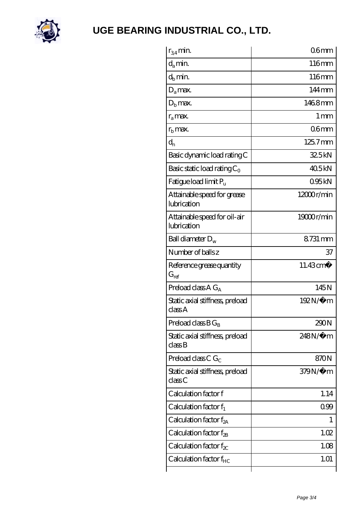

| $r_{34}$ min.                               | 06 <sub>mm</sub>     |
|---------------------------------------------|----------------------|
| $d_a$ min.                                  | 116mm                |
| $d_b$ min.                                  | 116mm                |
| $D_a$ max.                                  | $144 \,\mathrm{mm}$  |
| $Db$ max.                                   | 1468mm               |
| $r_a$ max.                                  | $1 \,\mathrm{mm}$    |
| $r_{\rm b}$ max.                            | 06 <sub>mm</sub>     |
| $d_{n}$                                     | 125.7mm              |
| Basic dynamic load rating C                 | 325kN                |
| Basic static load rating $C_0$              | 405kN                |
| Fatigue load limit $P_{\rm u}$              | 095kN                |
| Attainable speed for grease<br>lubrication  | 12000r/min           |
| Attainable speed for oil-air<br>lubrication | 19000r/min           |
| Ball diameter $D_w$                         | 8731 mm              |
| Number of balls z                           | 37                   |
| Reference grease quantity<br>$G_{ref}$      | 11.43cm <sup>3</sup> |
| Preload class $A G_A$                       | 145N                 |
| Static axial stiffness, preload<br>classA   | 192N/μ m             |
| Preload class $BG_B$                        | 290N                 |
| Static axial stiffness, preload<br>classB   | $248N/\mu$ m         |
| Preload class C $G_C$                       | 870N                 |
| Static axial stiffness, preload<br>classC   | 379N/µ m             |
| Calculation factor f                        | 1.14                 |
| Calculation factor $f_1$                    | 099                  |
| Calculation factor $f_{2A}$                 | L                    |
| Calculation factor $f_{2B}$                 | 1.02                 |
| Calculation factor $f_{\chi}$               | 1.08                 |
| Calculation factor $f_{HC}$                 | 1.01                 |
|                                             |                      |